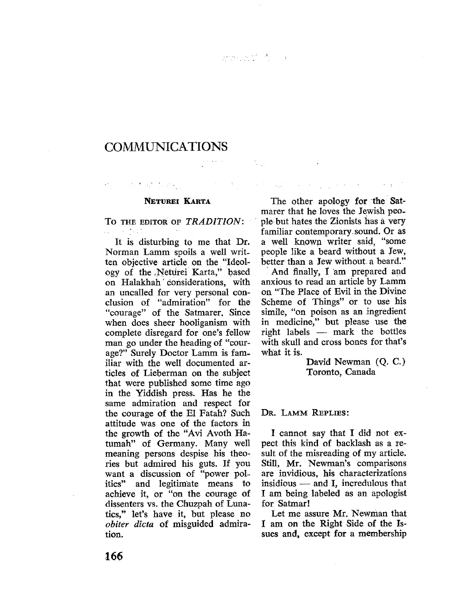$\sum_{i=1}^n\sum_{j=1}^n\left(\frac{1}{\|x_i\|_2^2}\right)^{n-1}\left(\frac{1}{\|x_i\|_2^2}\right)^{n-1}\left(\frac{1}{\|x_i\|_2^2}\right)^{n-1}\left(\frac{1}{\|x_i\|_2^2}\right)^{n-1}.$ 

## **COMMUNICATIONS**

## NETUREI KARTA

TO THE EDITOR OF TRADITION:  $\sim 10^{-10}$  km s  $^{-1}$ 

It is disturbing to me that Dr. Norman Lamm spoils a well written objective article on the "Ideology of the Neturei Karta," based on Halakhah' considerations, with an uncalled for very personal conclusion of "admiration" for the "courage" of the Satmarer. Since when does sheer hooliganism with complete disregard for one's fellow man go under the heading of "courage?" Surely Doctor Lamm is familar with the well documented articles of Lieberman on the subject that were published some time ago in the Yiddish press. Has he the same admiration and respect for the courage of the El Fatah? Such attitude was one of the factors in the growth of the "Avi Avoth Hatumah" of Germany. Many well meaning persons despise his theories but admired his guts. If you want a discussion of "power politics" and legitim'ate means to achieve it, or "on the courage of dissenters vs. the Chuzpah of Lunatics," let's have it, but please no obiter dicta of misguided admiration.

The other apology for the Satmarer that he loves the Jewish peo-<br>ple-but hates the Zionists has a very familiar contemporary sound. Or as a well known writer said, "some people like a beard without a Jew, better than a Jew without a beard."

 $\mathcal{L}^{(1)}$  and  $\mathcal{L}^{(2)}$  and  $\mathcal{L}^{(1)}$  and  $\mathcal{L}^{(2)}$  are  $\mathcal{L}^{(1)}$  and  $\mathcal{L}^{(2)}$  and  $\mathcal{L}^{(3)}$ 

And finally,  $\dot{\mathrm{I}}$  am prepared and anxious to read an article by Lamm on "The Place of Evil in the Divine Scheme of Things" or to use his simile, "on poison as an ingredient in medicine," but please use the right labels - mark the bottles with skull and cross bones for that's what it is.

> David Newman (Q. C.) Toronto, Canada

DR. LAMM REPLIES:

I cannot say that I did not expect this kind of backlash as a result of the misreading of my article. Stil, Mr. Newman's comparisons are invidious, his characterizations insidious  $-$  and I, incredulous that I am being labeled as an apologist for Satmar!

Let me assure Mr. Newman that I am on the Right Side of the Issues and, except for a membership